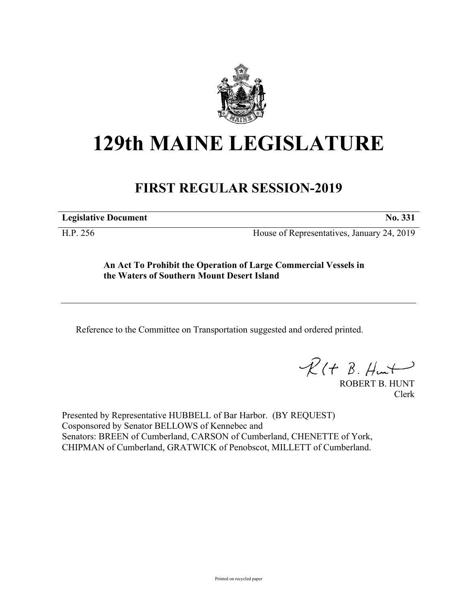

## **129th MAINE LEGISLATURE**

## **FIRST REGULAR SESSION-2019**

**Legislative Document No. 331**

H.P. 256 House of Representatives, January 24, 2019

**An Act To Prohibit the Operation of Large Commercial Vessels in the Waters of Southern Mount Desert Island**

Reference to the Committee on Transportation suggested and ordered printed.

 $R(t B. Hmt)$ 

ROBERT B. HUNT Clerk

Presented by Representative HUBBELL of Bar Harbor. (BY REQUEST) Cosponsored by Senator BELLOWS of Kennebec and Senators: BREEN of Cumberland, CARSON of Cumberland, CHENETTE of York, CHIPMAN of Cumberland, GRATWICK of Penobscot, MILLETT of Cumberland.